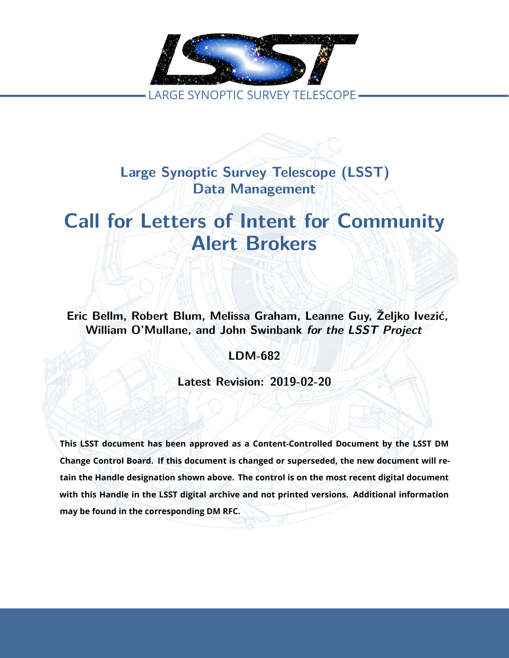

**Large Synoptic Survey Telescope (LSST) Data Management**

# **Call for Letters of Intent for Community Alert Brokers**

**Eric Bellm, Robert Blum, Melissa Graham, Leanne Guy, Željko Ivezić, William O'Mullane, and John Swinbank** *for the LSST Project*

**LDM-682**

**Latest Revision: 2019-02-20**

**This LSST document has been approved as a Content-Controlled Document by the LSST DM Change Control Board. If this document is changed or superseded, the new document will retain the Handle designation shown above. The control is on the most recent digital document with this Handle in the LSST digital archive and not printed versions. Additional information may be found in the corresponding DM RFC.**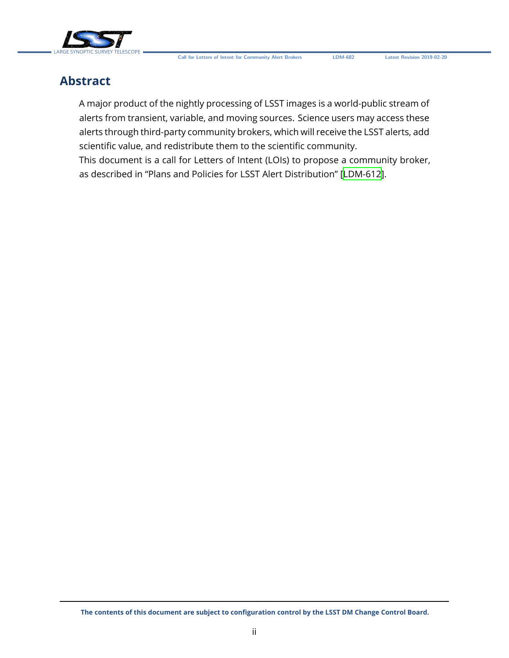

## **Abstract**

A major product of the nightly processing of LSST images is a world-public stream of alerts from transient, variable, and moving sources. Science users may access these alerts through third-party community brokers, which will receive the LSST alerts, add scientific value, and redistribute them to the scientific community.

This document is a call for Letters of Intent (LOIs) to propose a community broker, as described in "Plans and Policies for LSST Alert Distribution" [\[LDM-612\]](#page-6-0).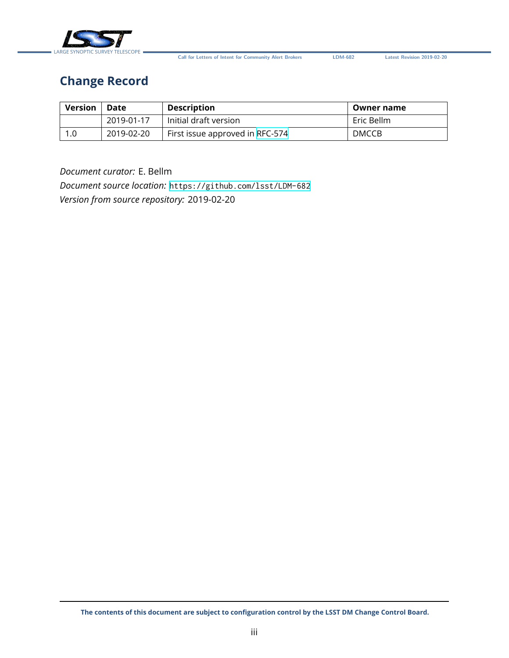

**Call for Letters of Intent for Community Alert Brokers LDM-682 Latest Revision 2019-02-20**

# **Change Record**

| Version | Date       | <b>Description</b>              | Owner name   |
|---------|------------|---------------------------------|--------------|
|         | 2019-01-17 | Initial draft version           | Eric Bellm   |
|         | 2019-02-20 | First issue approved in RFC-574 | <b>DMCCB</b> |

#### *Document curator:* E. Bellm

*Document source location:* <https://github.com/lsst/LDM-682> *Version from source repository:* 2019-02-20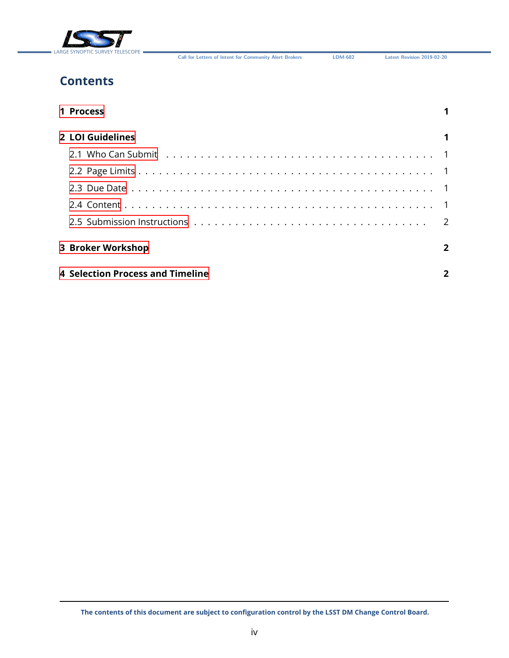

**Call for Letters of Intent for Community Alert Brokers LDM-682 Latest Revision 2019-02-20**

# **Contents**

| 1 Process                        |                |  |  |
|----------------------------------|----------------|--|--|
| 2 LOI Guidelines                 |                |  |  |
|                                  |                |  |  |
|                                  |                |  |  |
|                                  |                |  |  |
|                                  |                |  |  |
|                                  |                |  |  |
| <b>3 Broker Workshop</b>         | $\overline{2}$ |  |  |
| 4 Selection Process and Timeline |                |  |  |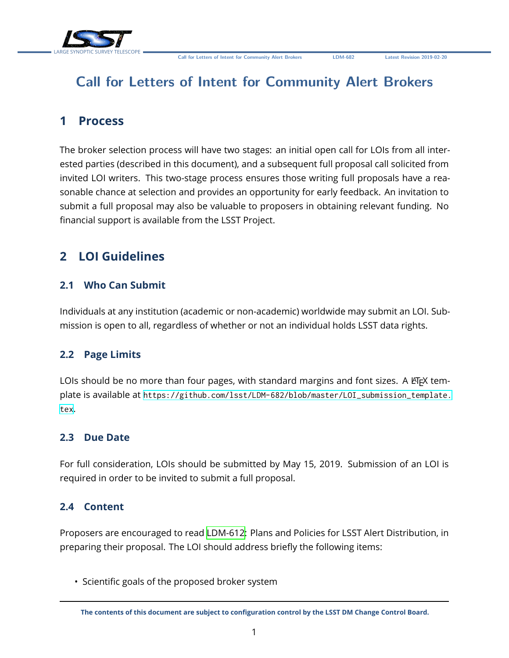

# **Call for Letters of Intent for Community Alert Brokers**

### <span id="page-4-0"></span>**1 Process**

The broker selection process will have two stages: an initial open call for LOIs from all interested parties (described in this document), and a subsequent full proposal call solicited from invited LOI writers. This two-stage process ensures those writing full proposals have a reasonable chance at selection and provides an opportunity for early feedback. An invitation to submit a full proposal may also be valuable to proposers in obtaining relevant funding. No financial support is available from the LSST Project.

# <span id="page-4-2"></span><span id="page-4-1"></span>**2 LOI Guidelines**

#### **2.1 Who Can Submit**

Individuals at any institution (academic or non-academic) worldwide may submit an LOI. Submission is open to all, regardless of whether or not an individual holds LSST data rights.

#### <span id="page-4-3"></span>**2.2 Page Limits**

LOIs should be no more than four pages, with standard margins and font sizes. A ETFX template is available at [https://github.com/lsst/LDM-682/blob/master/LOI\\_submission\\_template.](https://github.com/lsst/LDM-682/blob/master/LOI_submission_template.tex) [tex](https://github.com/lsst/LDM-682/blob/master/LOI_submission_template.tex).

#### <span id="page-4-4"></span>**2.3 Due Date**

For full consideration, LOIs should be submitted by May 15, 2019. Submission of an LOI is required in order to be invited to submit a full proposal.

#### <span id="page-4-5"></span>**2.4 Content**

Proposers are encouraged to read [LDM-612](#page-6-0): Plans and Policies for LSST Alert Distribution, in preparing their proposal. The LOI should address briefly the following items:

• Scientific goals of the proposed broker system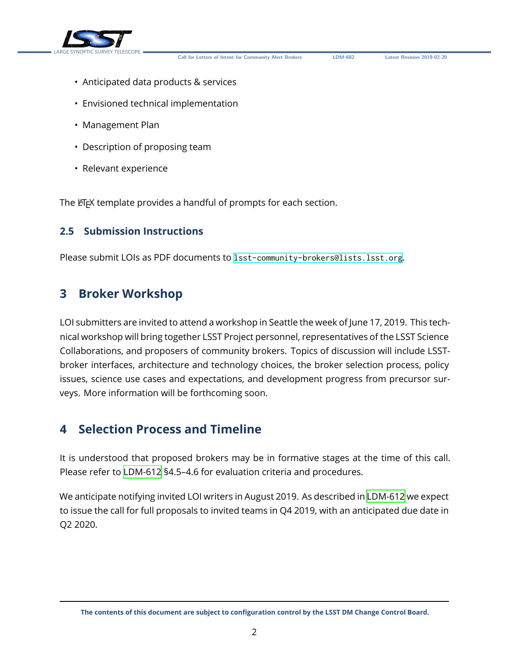

**Call for Letters of Intent for Community Alert Brokers LDM-682 Latest Revision 2019-02-20**

- Anticipated data products & services
- Envisioned technical implementation
- Management Plan
- Description of proposing team
- Relevant experience

The ET<sub>E</sub>X template provides a handful of prompts for each section.

#### <span id="page-5-0"></span>**2.5 Submission Instructions**

Please submit LOIs as PDF documents to <lsst-community-brokers@lists.lsst.org>.

#### <span id="page-5-1"></span>**3 Broker Workshop**

LOI submitters are invited to attend a workshop in Seattle the week of June 17, 2019. This technical workshop will bring together LSST Project personnel, representatives of the LSST Science Collaborations, and proposers of community brokers. Topics of discussion will include LSSTbroker interfaces, architecture and technology choices, the broker selection process, policy issues, science use cases and expectations, and development progress from precursor surveys. More information will be forthcoming soon.

### <span id="page-5-2"></span>**4 Selection Process and Timeline**

It is understood that proposed brokers may be in formative stages at the time of this call. Please refer to [LDM-612](#page-6-0) §4.5–4.6 for evaluation criteria and procedures.

We anticipate notifying invited LOI writers in August 2019. As described in [LDM-612](#page-6-0) we expect to issue the call for full proposals to invited teams in Q4 2019, with an anticipated due date in Q2 2020.

**The contents of this document are subject to configuration control by the LSST DM Change Control Board.**